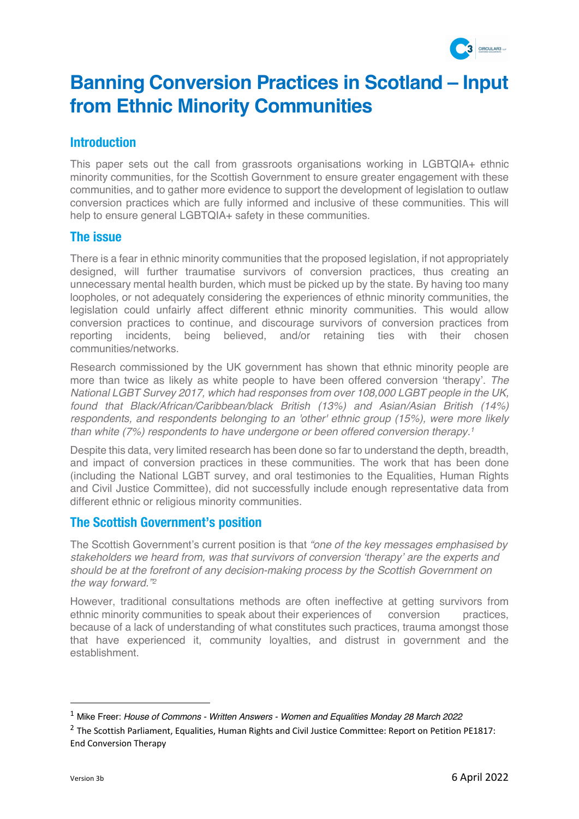

# **Banning Conversion Practices in Scotland – Input from Ethnic Minority Communities**

## **Introduction**

This paper sets out the call from grassroots organisations working in LGBTQIA+ ethnic minority communities, for the Scottish Government to ensure greater engagement with these communities, and to gather more evidence to support the development of legislation to outlaw conversion practices which are fully informed and inclusive of these communities. This will help to ensure general LGBTQIA+ safety in these communities.

## **The issue**

There is a fear in ethnic minority communities that the proposed legislation, if not appropriately designed, will further traumatise survivors of conversion practices, thus creating an unnecessary mental health burden, which must be picked up by the state. By having too many loopholes, or not adequately considering the experiences of ethnic minority communities, the legislation could unfairly affect different ethnic minority communities. This would allow conversion practices to continue, and discourage survivors of conversion practices from reporting incidents, being believed, and/or retaining ties with their chosen communities/networks.

Research commissioned by the UK government has shown that ethnic minority people are more than twice as likely as white people to have been offered conversion 'therapy'. *The National LGBT Survey 2017, which had responses from over 108,000 LGBT people in the UK, found that Black/African/Caribbean/black British (13%) and Asian/Asian British (14%) respondents, and respondents belonging to an 'other' ethnic group (15%), were more likely than white (7%) respondents to have undergone or been offered conversion therapy. 1*

Despite this data, very limited research has been done so far to understand the depth, breadth, and impact of conversion practices in these communities. The work that has been done (including the National LGBT survey, and oral testimonies to the Equalities, Human Rights and Civil Justice Committee), did not successfully include enough representative data from different ethnic or religious minority communities.

## **The Scottish Government's position**

The Scottish Government's current position is that *"one of the key messages emphasised by stakeholders we heard from, was that survivors of conversion 'therapy' are the experts and should be at the forefront of any decision-making process by the Scottish Government on the way forward."2*

However, traditional consultations methods are often ineffective at getting survivors from ethnic minority communities to speak about their experiences of conversion practices, because of a lack of understanding of what constitutes such practices, trauma amongst those that have experienced it, community loyalties, and distrust in government and the establishment.

<sup>1</sup> Mike Freer: *House of Commons - Written Answers - Women and Equalities Monday 28 March 2022*

<sup>&</sup>lt;sup>2</sup> The Scottish Parliament, Equalities, Human Rights and Civil Justice Committee: Report on Petition PE1817: End Conversion Therapy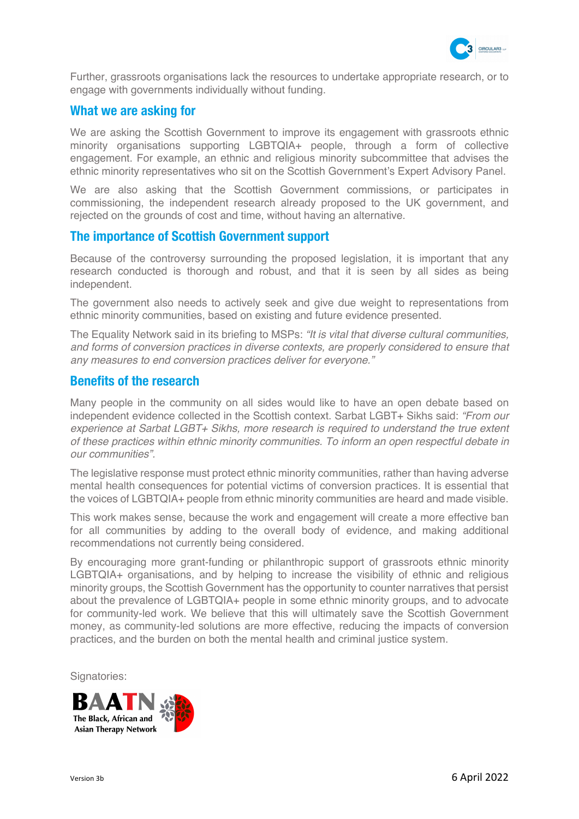

Further, grassroots organisations lack the resources to undertake appropriate research, or to engage with governments individually without funding.

## **What we are asking for**

We are asking the Scottish Government to improve its engagement with grassroots ethnic minority organisations supporting LGBTQIA+ people, through a form of collective engagement. For example, an ethnic and religious minority subcommittee that advises the ethnic minority representatives who sit on the Scottish Government's Expert Advisory Panel.

We are also asking that the Scottish Government commissions, or participates in commissioning, the independent research already proposed to the UK government, and rejected on the grounds of cost and time, without having an alternative.

## **The importance of Scottish Government support**

Because of the controversy surrounding the proposed legislation, it is important that any research conducted is thorough and robust, and that it is seen by all sides as being independent.

The government also needs to actively seek and give due weight to representations from ethnic minority communities, based on existing and future evidence presented.

The Equality Network said in its briefing to MSPs: *"It is vital that diverse cultural communities, and forms of conversion practices in diverse contexts, are properly considered to ensure that any measures to end conversion practices deliver for everyone."*

## **Benefits of the research**

Many people in the community on all sides would like to have an open debate based on independent evidence collected in the Scottish context. Sarbat LGBT+ Sikhs said: *"From our experience at Sarbat LGBT+ Sikhs, more research is required to understand the true extent of these practices within ethnic minority communities. To inform an open respectful debate in our communities".*

The legislative response must protect ethnic minority communities, rather than having adverse mental health consequences for potential victims of conversion practices. It is essential that the voices of LGBTQIA+ people from ethnic minority communities are heard and made visible.

This work makes sense, because the work and engagement will create a more effective ban for all communities by adding to the overall body of evidence, and making additional recommendations not currently being considered.

By encouraging more grant-funding or philanthropic support of grassroots ethnic minority LGBTQIA+ organisations, and by helping to increase the visibility of ethnic and religious minority groups, the Scottish Government has the opportunity to counter narratives that persist about the prevalence of LGBTQIA+ people in some ethnic minority groups, and to advocate for community-led work. We believe that this will ultimately save the Scottish Government money, as community-led solutions are more effective, reducing the impacts of conversion practices, and the burden on both the mental health and criminal justice system.

Signatories: